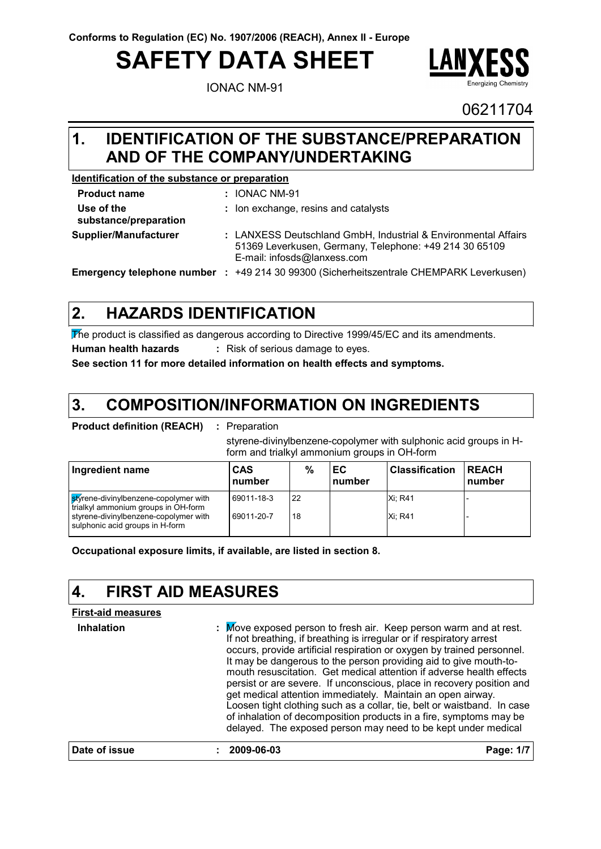# **SAFETY DATA SHEET**

IONAC NM-91



06211704

### **IDENTIFICATION OF THE SUBSTANCE/PREPARATION 1. AND OF THE COMPANY/UNDERTAKING**

### **Identification of the substance or preparation**

| <b>Product name</b>                 |       | : IONAC NM-91                                                                                                                                           |
|-------------------------------------|-------|---------------------------------------------------------------------------------------------------------------------------------------------------------|
| Use of the<br>substance/preparation |       | : Ion exchange, resins and catalysts                                                                                                                    |
| Supplier/Manufacturer               |       | : LANXESS Deutschland GmbH, Industrial & Environmental Affairs<br>51369 Leverkusen, Germany, Telephone: +49 214 30 65109<br>E-mail: infosds@lanxess.com |
| Emergency telephone number          | n din | +49 214 30 99300 (Sicherheitszentrale CHEMPARK Leverkusen)                                                                                              |

#### **HAZARDS IDENTIFICATION 2.**

The product is classified as dangerous according to Directive 1999/45/EC and its amendments. **Human health hazards :** Risk of serious damage to eyes.

**See section 11 for more detailed information on health effects and symptoms.**

#### **COMPOSITION/INFORMATION ON INGREDIENTS 3.**

**Product definition (REACH) :** Preparation

styrene-divinylbenzene-copolymer with sulphonic acid groups in Hform and trialkyl ammonium groups in OH-form

| Ingredient name                                                              | CAS<br>number | %  | ЕC<br>number | Classification | <b>REACH</b><br>number |
|------------------------------------------------------------------------------|---------------|----|--------------|----------------|------------------------|
| styrene-divinylbenzene-copolymer with<br>trialkyl ammonium groups in OH-form | 69011-18-3    | 22 |              | Xi: R41        |                        |
| styrene-divinylbenzene-copolymer with<br>sulphonic acid groups in H-form     | 69011-20-7    | 18 |              | <b>Xi: R41</b> |                        |

**Occupational exposure limits, if available, are listed in section 8.**

#### **4. FIRST AID MEASURES**

### **First-aid measures**

**Inhalation :** . Move exposed person to fresh air. Keep person warm and at rest. If not breathing, if breathing is irregular or if respiratory arrest occurs, provide artificial respiration or oxygen by trained personnel. It may be dangerous to the person providing aid to give mouth-tomouth resuscitation. Get medical attention if adverse health effects persist or are severe. If unconscious, place in recovery position and get medical attention immediately. Maintain an open airway. Loosen tight clothing such as a collar, tie, belt or waistband. In case of inhalation of decomposition products in a fire, symptoms may be delayed. The exposed person may need to be kept under medical **Date of issue : 2009-06-03 Page: 1/7**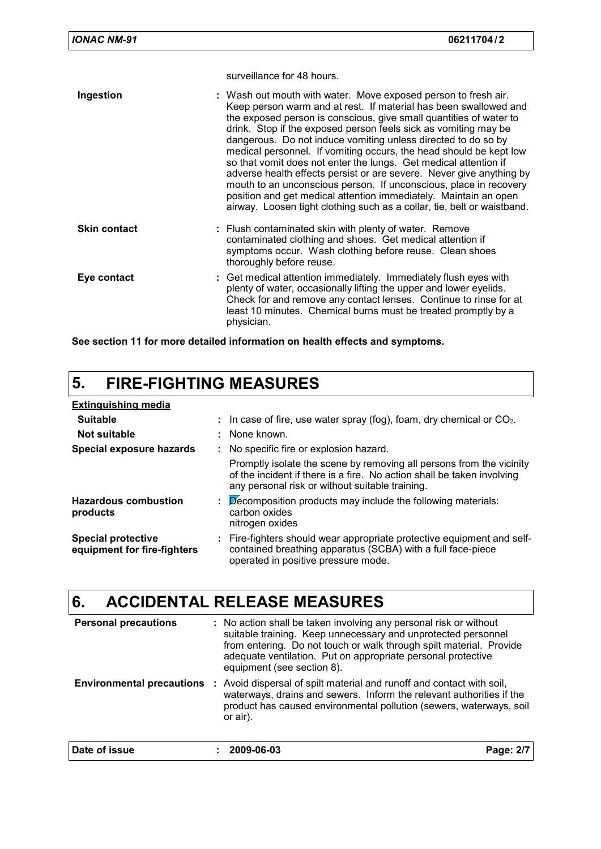surveillance for 48 hours.

| Ingestion           | : Wash out mouth with water. Move exposed person to fresh air.<br>Keep person warm and at rest. If material has been swallowed and<br>the exposed person is conscious, give small quantities of water to<br>drink. Stop if the exposed person feels sick as vomiting may be<br>dangerous. Do not induce vomiting unless directed to do so by<br>medical personnel. If vomiting occurs, the head should be kept low<br>so that vomit does not enter the lungs. Get medical attention if<br>adverse health effects persist or are severe. Never give anything by<br>mouth to an unconscious person. If unconscious, place in recovery<br>position and get medical attention immediately. Maintain an open<br>airway. Loosen tight clothing such as a collar, tie, belt or waistband. |
|---------------------|------------------------------------------------------------------------------------------------------------------------------------------------------------------------------------------------------------------------------------------------------------------------------------------------------------------------------------------------------------------------------------------------------------------------------------------------------------------------------------------------------------------------------------------------------------------------------------------------------------------------------------------------------------------------------------------------------------------------------------------------------------------------------------|
| <b>Skin contact</b> | : Flush contaminated skin with plenty of water. Remove<br>contaminated clothing and shoes. Get medical attention if<br>symptoms occur. Wash clothing before reuse. Clean shoes<br>thoroughly before reuse.                                                                                                                                                                                                                                                                                                                                                                                                                                                                                                                                                                         |
| Eye contact         | : Get medical attention immediately. Immediately flush eyes with<br>plenty of water, occasionally lifting the upper and lower eyelids.<br>Check for and remove any contact lenses. Continue to rinse for at<br>least 10 minutes. Chemical burns must be treated promptly by a<br>physician.                                                                                                                                                                                                                                                                                                                                                                                                                                                                                        |

**See section 11 for more detailed information on health effects and symptoms.**

# **5. FIRE-FIGHTING MEASURES**

| <b>Extinguishing media</b>                               |                                                                                                                                                                                                   |
|----------------------------------------------------------|---------------------------------------------------------------------------------------------------------------------------------------------------------------------------------------------------|
| <b>Suitable</b>                                          | : In case of fire, use water spray (fog), foam, dry chemical or $CO2$ .                                                                                                                           |
| Not suitable                                             | : None known.                                                                                                                                                                                     |
| Special exposure hazards                                 | : No specific fire or explosion hazard.                                                                                                                                                           |
|                                                          | Promptly isolate the scene by removing all persons from the vicinity<br>of the incident if there is a fire. No action shall be taken involving<br>any personal risk or without suitable training. |
| <b>Hazardous combustion</b><br>products                  | Decomposition products may include the following materials:<br>carbon oxides<br>nitrogen oxides                                                                                                   |
| <b>Special protective</b><br>equipment for fire-fighters | : Fire-fighters should wear appropriate protective equipment and self-<br>contained breathing apparatus (SCBA) with a full face-piece<br>operated in positive pressure mode.                      |

## **6. ACCIDENTAL RELEASE MEASURES**

| <b>Personal precautions</b> | : No action shall be taken involving any personal risk or without<br>suitable training. Keep unnecessary and unprotected personnel<br>from entering. Do not touch or walk through spilt material. Provide<br>adequate ventilation. Put on appropriate personal protective<br>equipment (see section 8). |           |  |
|-----------------------------|---------------------------------------------------------------------------------------------------------------------------------------------------------------------------------------------------------------------------------------------------------------------------------------------------------|-----------|--|
|                             | <b>Environmental precautions</b> : Avoid dispersal of spilt material and runoff and contact with soil,<br>waterways, drains and sewers. Inform the relevant authorities if the<br>product has caused environmental pollution (sewers, waterways, soil<br>or air).                                       |           |  |
| Date of issue               | 2009-06-03                                                                                                                                                                                                                                                                                              | Page: 2/7 |  |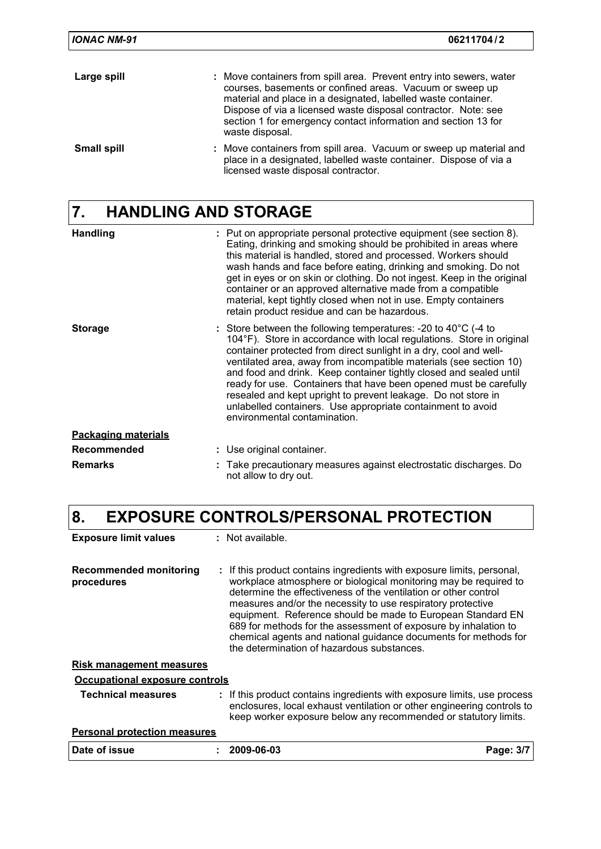| <b>IONAC NM-91</b> | 06211704/2                                                                                                                                                                                                                                                                                                                                              |
|--------------------|---------------------------------------------------------------------------------------------------------------------------------------------------------------------------------------------------------------------------------------------------------------------------------------------------------------------------------------------------------|
| Large spill        | : Move containers from spill area. Prevent entry into sewers, water<br>courses, basements or confined areas. Vacuum or sweep up<br>material and place in a designated, labelled waste container.<br>Dispose of via a licensed waste disposal contractor. Note: see<br>section 1 for emergency contact information and section 13 for<br>waste disposal. |
| <b>Small spill</b> | : Move containers from spill area. Vacuum or sweep up material and<br>place in a designated, labelled waste container. Dispose of via a<br>licensed waste disposal contractor.                                                                                                                                                                          |

# **7. HANDLING AND STORAGE**

| <b>Handling</b>            | : Put on appropriate personal protective equipment (see section 8).<br>Eating, drinking and smoking should be prohibited in areas where<br>this material is handled, stored and processed. Workers should<br>wash hands and face before eating, drinking and smoking. Do not<br>get in eyes or on skin or clothing. Do not ingest. Keep in the original<br>container or an approved alternative made from a compatible<br>material, kept tightly closed when not in use. Empty containers<br>retain product residue and can be hazardous.                                                               |
|----------------------------|---------------------------------------------------------------------------------------------------------------------------------------------------------------------------------------------------------------------------------------------------------------------------------------------------------------------------------------------------------------------------------------------------------------------------------------------------------------------------------------------------------------------------------------------------------------------------------------------------------|
| <b>Storage</b>             | : Store between the following temperatures: -20 to $40^{\circ}$ C (-4 to<br>104°F). Store in accordance with local regulations. Store in original<br>container protected from direct sunlight in a dry, cool and well-<br>ventilated area, away from incompatible materials (see section 10)<br>and food and drink. Keep container tightly closed and sealed until<br>ready for use. Containers that have been opened must be carefully<br>resealed and kept upright to prevent leakage. Do not store in<br>unlabelled containers. Use appropriate containment to avoid<br>environmental contamination. |
| <b>Packaging materials</b> |                                                                                                                                                                                                                                                                                                                                                                                                                                                                                                                                                                                                         |
| <b>Recommended</b>         | : Use original container.                                                                                                                                                                                                                                                                                                                                                                                                                                                                                                                                                                               |
| <b>Remarks</b>             | Take precautionary measures against electrostatic discharges. Do<br>not allow to dry out.                                                                                                                                                                                                                                                                                                                                                                                                                                                                                                               |

# **8. EXPOSURE CONTROLS/PERSONAL PROTECTION**

| <b>Exposure limit values</b>         | : Not available.                                                                                                                                                                                                                                                                                                                                                                                                                                                                                                                |           |
|--------------------------------------|---------------------------------------------------------------------------------------------------------------------------------------------------------------------------------------------------------------------------------------------------------------------------------------------------------------------------------------------------------------------------------------------------------------------------------------------------------------------------------------------------------------------------------|-----------|
| Recommended monitoring<br>procedures | : If this product contains ingredients with exposure limits, personal,<br>workplace atmosphere or biological monitoring may be required to<br>determine the effectiveness of the ventilation or other control<br>measures and/or the necessity to use respiratory protective<br>equipment. Reference should be made to European Standard EN<br>689 for methods for the assessment of exposure by inhalation to<br>chemical agents and national guidance documents for methods for<br>the determination of hazardous substances. |           |
| <u>Risk management measures</u>      |                                                                                                                                                                                                                                                                                                                                                                                                                                                                                                                                 |           |
| Occupational exposure controls       |                                                                                                                                                                                                                                                                                                                                                                                                                                                                                                                                 |           |
| <b>Technical measures</b>            | : If this product contains ingredients with exposure limits, use process<br>enclosures, local exhaust ventilation or other engineering controls to<br>keep worker exposure below any recommended or statutory limits.                                                                                                                                                                                                                                                                                                           |           |
| <b>Personal protection measures</b>  |                                                                                                                                                                                                                                                                                                                                                                                                                                                                                                                                 |           |
| Date of issue                        | 2009-06-03                                                                                                                                                                                                                                                                                                                                                                                                                                                                                                                      | Page: 3/7 |
|                                      |                                                                                                                                                                                                                                                                                                                                                                                                                                                                                                                                 |           |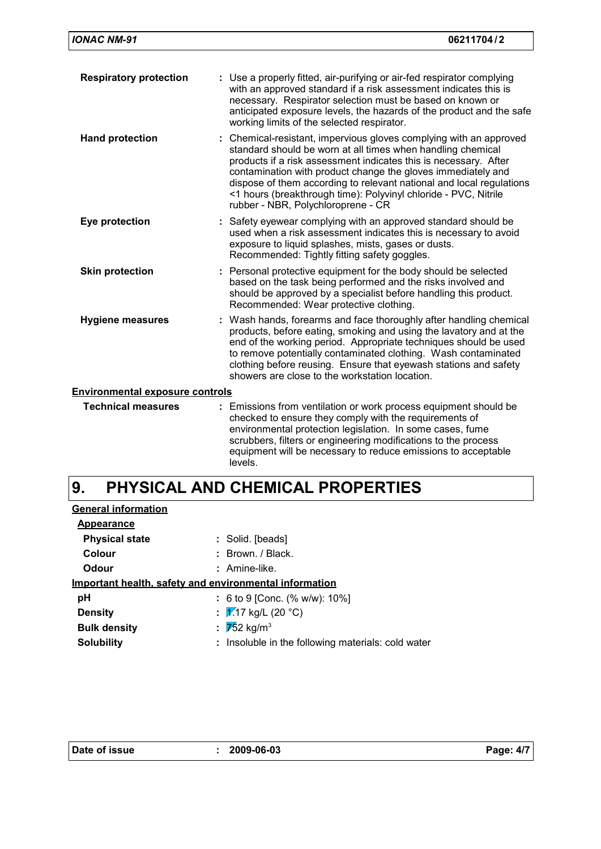| <b>Respiratory protection</b>          | : Use a properly fitted, air-purifying or air-fed respirator complying<br>with an approved standard if a risk assessment indicates this is<br>necessary. Respirator selection must be based on known or<br>anticipated exposure levels, the hazards of the product and the safe<br>working limits of the selected respirator.                                                                                                                          |  |
|----------------------------------------|--------------------------------------------------------------------------------------------------------------------------------------------------------------------------------------------------------------------------------------------------------------------------------------------------------------------------------------------------------------------------------------------------------------------------------------------------------|--|
| <b>Hand protection</b>                 | : Chemical-resistant, impervious gloves complying with an approved<br>standard should be worn at all times when handling chemical<br>products if a risk assessment indicates this is necessary. After<br>contamination with product change the gloves immediately and<br>dispose of them according to relevant national and local regulations<br><1 hours (breakthrough time): Polyvinyl chloride - PVC, Nitrile<br>rubber - NBR, Polychloroprene - CR |  |
| Eye protection                         | : Safety eyewear complying with an approved standard should be<br>used when a risk assessment indicates this is necessary to avoid<br>exposure to liquid splashes, mists, gases or dusts.<br>Recommended: Tightly fitting safety goggles.                                                                                                                                                                                                              |  |
| <b>Skin protection</b>                 | : Personal protective equipment for the body should be selected<br>based on the task being performed and the risks involved and<br>should be approved by a specialist before handling this product.<br>Recommended: Wear protective clothing.                                                                                                                                                                                                          |  |
| <b>Hygiene measures</b>                | : Wash hands, forearms and face thoroughly after handling chemical<br>products, before eating, smoking and using the lavatory and at the<br>end of the working period. Appropriate techniques should be used<br>to remove potentially contaminated clothing. Wash contaminated<br>clothing before reusing. Ensure that eyewash stations and safety<br>showers are close to the workstation location.                                                   |  |
| <b>Environmental exposure controls</b> |                                                                                                                                                                                                                                                                                                                                                                                                                                                        |  |
| <b>Technical measures</b>              | : Emissions from ventilation or work process equipment should be<br>checked to ensure they comply with the requirements of<br>environmental protection legislation. In some cases, fume<br>scrubbers, filters or engineering modifications to the process<br>equipment will be necessary to reduce emissions to acceptable                                                                                                                             |  |

#### **PHYSICAL AND CHEMICAL PROPERTIES 9.**

levels.

| <b>General information</b>                             |                                                    |
|--------------------------------------------------------|----------------------------------------------------|
| <b>Appearance</b>                                      |                                                    |
| <b>Physical state</b>                                  | : Solid. [beads]                                   |
| Colour                                                 | $:$ Brown, $/$ Black,                              |
| Odour                                                  | : Amine-like.                                      |
| Important health, safety and environmental information |                                                    |
| рH                                                     | : 6 to 9 [Conc. $% w/w$ ]: 10%]                    |
| <b>Density</b>                                         | : $\sqrt{2}$ 17 kg/L (20 °C)                       |
| <b>Bulk density</b>                                    | : $\sqrt{752}$ kg/m <sup>3</sup>                   |
| <b>Solubility</b>                                      | : Insoluble in the following materials: cold water |
|                                                        |                                                    |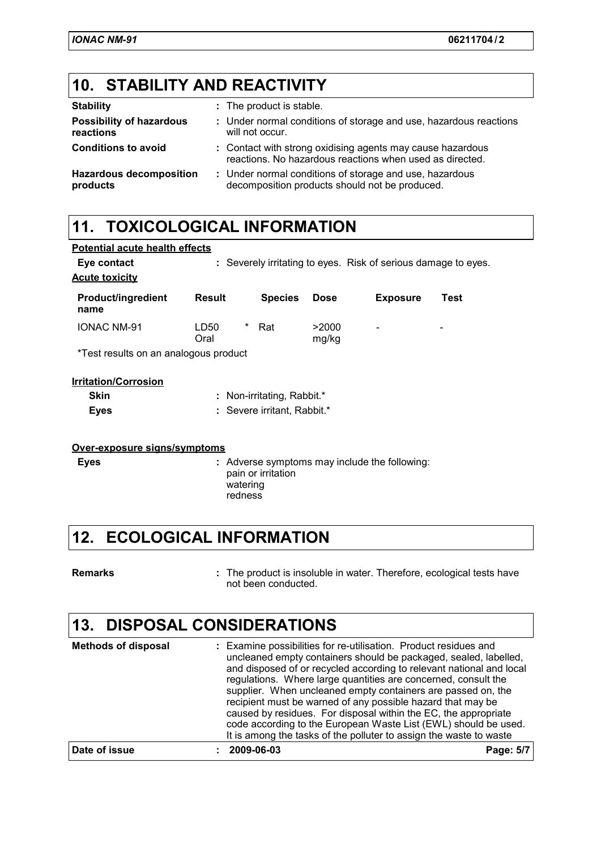### **10. STABILITY AND REACTIVITY**

| <b>Stability</b>                             | : The product is stable.                                                                                               |
|----------------------------------------------|------------------------------------------------------------------------------------------------------------------------|
| <b>Possibility of hazardous</b><br>reactions | : Under normal conditions of storage and use, hazardous reactions<br>will not occur.                                   |
| <b>Conditions to avoid</b>                   | : Contact with strong oxidising agents may cause hazardous<br>reactions. No hazardous reactions when used as directed. |
| <b>Hazardous decomposition</b><br>products   | : Under normal conditions of storage and use, hazardous<br>decomposition products should not be produced.              |

### **11. TOXICOLOGICAL INFORMATION**

| Eye contact<br><b>Acute toxicity</b>  |                   |                             |                | : Severely irritating to eyes. Risk of serious damage to eyes. |      |
|---------------------------------------|-------------------|-----------------------------|----------------|----------------------------------------------------------------|------|
| <b>Product/ingredient</b><br>name     | <b>Result</b>     | <b>Species</b>              | <b>Dose</b>    | <b>Exposure</b>                                                | Test |
| <b>IONAC NM-91</b>                    | *<br>LD50<br>Oral | Rat                         | >2000<br>mg/kg | -                                                              |      |
| *Test results on an analogous product |                   |                             |                |                                                                |      |
| <b>Irritation/Corrosion</b>           |                   |                             |                |                                                                |      |
| <b>Skin</b>                           |                   | : Non-irritating, Rabbit.*  |                |                                                                |      |
| <b>Eyes</b>                           |                   | : Severe irritant, Rabbit.* |                |                                                                |      |

| Over-exposure signs/symptoms |  |  |
|------------------------------|--|--|
|                              |  |  |

Adverse symptoms may include the following: **Eyes :** pain or irritation watering redness

### **12. ECOLOGICAL INFORMATION**

The product is insoluble in water. Therefore, ecological tests have not been conducted. **Remarks :**

### **13. DISPOSAL CONSIDERATIONS**

| <b>Methods of disposal</b> | : Examine possibilities for re-utilisation. Product residues and<br>uncleaned empty containers should be packaged, sealed, labelled,<br>and disposed of or recycled according to relevant national and local<br>regulations. Where large quantities are concerned, consult the<br>supplier. When uncleaned empty containers are passed on, the<br>recipient must be warned of any possible hazard that may be<br>caused by residues. For disposal within the EC, the appropriate<br>code according to the European Waste List (EWL) should be used.<br>It is among the tasks of the polluter to assign the waste to waste |           |
|----------------------------|---------------------------------------------------------------------------------------------------------------------------------------------------------------------------------------------------------------------------------------------------------------------------------------------------------------------------------------------------------------------------------------------------------------------------------------------------------------------------------------------------------------------------------------------------------------------------------------------------------------------------|-----------|
| Date of issue              | 2009-06-03                                                                                                                                                                                                                                                                                                                                                                                                                                                                                                                                                                                                                | Page: 5/7 |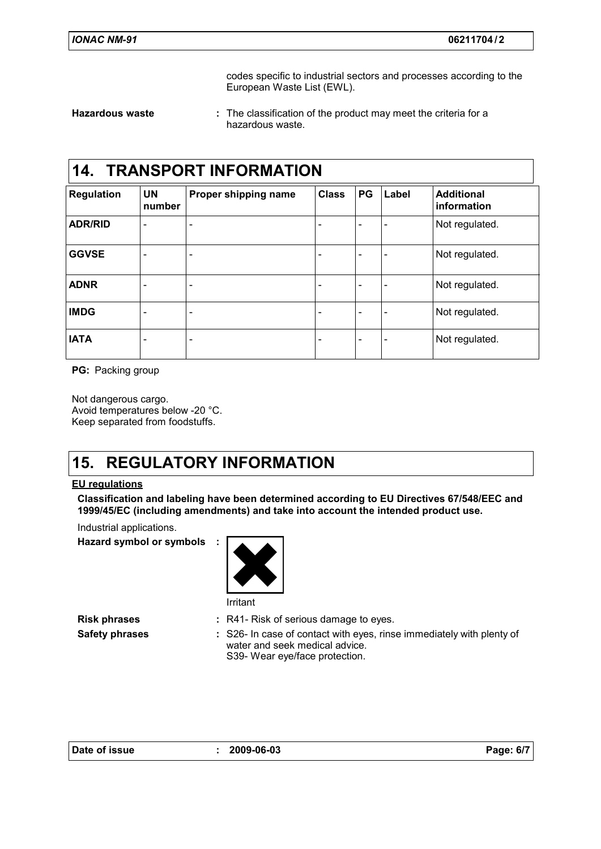codes specific to industrial sectors and processes according to the European Waste List (EWL).

**Hazardous waste :**

The classification of the product may meet the criteria for a hazardous waste.

### **14. TRANSPORT INFORMATION**

| <b>Regulation</b> | <b>UN</b><br>number          | Proper shipping name         | <b>Class</b> | PG                       | Label                        | <b>Additional</b><br>information |
|-------------------|------------------------------|------------------------------|--------------|--------------------------|------------------------------|----------------------------------|
| <b>ADR/RID</b>    | $\qquad \qquad \blacksquare$ | $\qquad \qquad \blacksquare$ |              | -                        | ۰                            | Not regulated.                   |
| <b>GGVSE</b>      | $\overline{\phantom{a}}$     | $\overline{\phantom{a}}$     |              | $\overline{\phantom{0}}$ | $\qquad \qquad \blacksquare$ | Not regulated.                   |
| <b>ADNR</b>       | $\qquad \qquad \blacksquare$ | $\overline{\phantom{a}}$     |              | -                        | $\qquad \qquad \blacksquare$ | Not regulated.                   |
| <b>IMDG</b>       | $\overline{\phantom{a}}$     | $\overline{\phantom{a}}$     |              | $\overline{\phantom{0}}$ | $\qquad \qquad \blacksquare$ | Not regulated.                   |
| <b>IATA</b>       | $\overline{\phantom{a}}$     | $\overline{\phantom{a}}$     | -            | $\overline{\phantom{0}}$ | ۰                            | Not regulated.                   |

**PG:** Packing group

Not dangerous cargo. Avoid temperatures below -20 °C. Keep separated from foodstuffs.

### **15. REGULATORY INFORMATION**

### **EU regulations**

**Classification and labeling have been determined according to EU Directives 67/548/EEC and 1999/45/EC (including amendments) and take into account the intended product use.**

Industrial applications.

**Hazard symbol or symbols :**



- **Risk phrases** : R41- Risk of serious damage to eyes.
- **Safety phrases** : S26- In case of contact with eyes, rinse immediately with plenty of water and seek medical advice. S39- Wear eye/face protection.